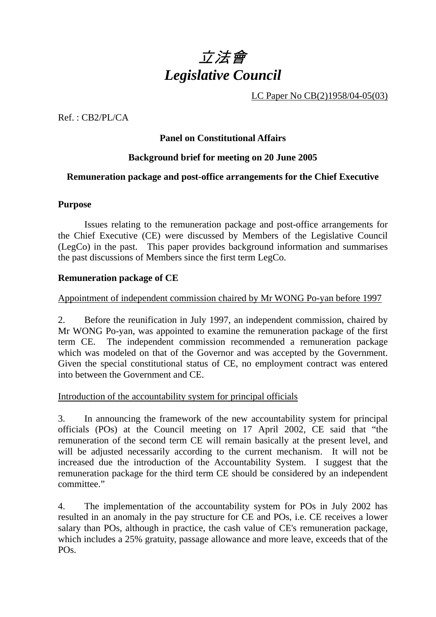# 立法會 *Legislative Council*

LC Paper No CB(2)1958/04-05(03)

Ref. : CB2/PL/CA

# **Panel on Constitutional Affairs**

# **Background brief for meeting on 20 June 2005**

# **Remuneration package and post-office arrangements for the Chief Executive**

#### **Purpose**

 Issues relating to the remuneration package and post-office arrangements for the Chief Executive (CE) were discussed by Members of the Legislative Council (LegCo) in the past. This paper provides background information and summarises the past discussions of Members since the first term LegCo.

#### **Remuneration package of CE**

# Appointment of independent commission chaired by Mr WONG Po-yan before 1997

2. Before the reunification in July 1997, an independent commission, chaired by Mr WONG Po-yan, was appointed to examine the remuneration package of the first term CE. The independent commission recommended a remuneration package which was modeled on that of the Governor and was accepted by the Government. Given the special constitutional status of CE, no employment contract was entered into between the Government and CE.

Introduction of the accountability system for principal officials

3. In announcing the framework of the new accountability system for principal officials (POs) at the Council meeting on 17 April 2002, CE said that "the remuneration of the second term CE will remain basically at the present level, and will be adjusted necessarily according to the current mechanism. It will not be increased due the introduction of the Accountability System. I suggest that the remuneration package for the third term CE should be considered by an independent committee."

4. The implementation of the accountability system for POs in July 2002 has resulted in an anomaly in the pay structure for CE and POs, i.e. CE receives a lower salary than POs, although in practice, the cash value of CE's remuneration package, which includes a 25% gratuity, passage allowance and more leave, exceeds that of the PO<sub>s</sub>.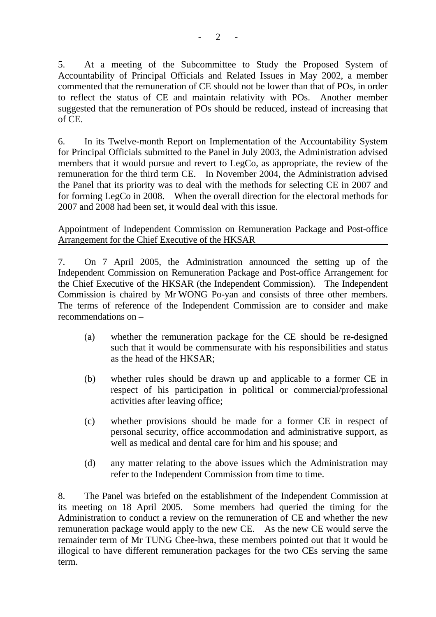5. At a meeting of the Subcommittee to Study the Proposed System of Accountability of Principal Officials and Related Issues in May 2002, a member commented that the remuneration of CE should not be lower than that of POs, in order to reflect the status of CE and maintain relativity with POs. Another member suggested that the remuneration of POs should be reduced, instead of increasing that of CE.

6. In its Twelve-month Report on Implementation of the Accountability System for Principal Officials submitted to the Panel in July 2003, the Administration advised members that it would pursue and revert to LegCo, as appropriate, the review of the remuneration for the third term CE. In November 2004, the Administration advised the Panel that its priority was to deal with the methods for selecting CE in 2007 and for forming LegCo in 2008. When the overall direction for the electoral methods for 2007 and 2008 had been set, it would deal with this issue.

Appointment of Independent Commission on Remuneration Package and Post-office Arrangement for the Chief Executive of the HKSAR

7. On 7 April 2005, the Administration announced the setting up of the Independent Commission on Remuneration Package and Post-office Arrangement for the Chief Executive of the HKSAR (the Independent Commission). The Independent Commission is chaired by Mr WONG Po-yan and consists of three other members. The terms of reference of the Independent Commission are to consider and make recommendations on –

- (a) whether the remuneration package for the CE should be re-designed such that it would be commensurate with his responsibilities and status as the head of the HKSAR;
- (b) whether rules should be drawn up and applicable to a former CE in respect of his participation in political or commercial/professional activities after leaving office;
- (c) whether provisions should be made for a former CE in respect of personal security, office accommodation and administrative support, as well as medical and dental care for him and his spouse; and
- (d) any matter relating to the above issues which the Administration may refer to the Independent Commission from time to time.

8. The Panel was briefed on the establishment of the Independent Commission at its meeting on 18 April 2005. Some members had queried the timing for the Administration to conduct a review on the remuneration of CE and whether the new remuneration package would apply to the new CE. As the new CE would serve the remainder term of Mr TUNG Chee-hwa, these members pointed out that it would be illogical to have different remuneration packages for the two CEs serving the same term.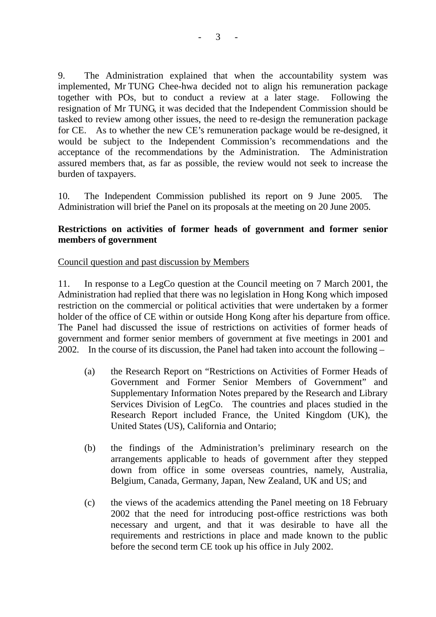9. The Administration explained that when the accountability system was implemented, Mr TUNG Chee-hwa decided not to align his remuneration package together with POs, but to conduct a review at a later stage. Following the resignation of Mr TUNG, it was decided that the Independent Commission should be tasked to review among other issues, the need to re-design the remuneration package for CE. As to whether the new CE's remuneration package would be re-designed, it would be subject to the Independent Commission's recommendations and the acceptance of the recommendations by the Administration. The Administration assured members that, as far as possible, the review would not seek to increase the burden of taxpayers.

10. The Independent Commission published its report on 9 June 2005. The Administration will brief the Panel on its proposals at the meeting on 20 June 2005.

#### **Restrictions on activities of former heads of government and former senior members of government**

#### Council question and past discussion by Members

11. In response to a LegCo question at the Council meeting on 7 March 2001, the Administration had replied that there was no legislation in Hong Kong which imposed restriction on the commercial or political activities that were undertaken by a former holder of the office of CE within or outside Hong Kong after his departure from office. The Panel had discussed the issue of restrictions on activities of former heads of government and former senior members of government at five meetings in 2001 and 2002. In the course of its discussion, the Panel had taken into account the following –

- (a) the Research Report on "Restrictions on Activities of Former Heads of Government and Former Senior Members of Government" and Supplementary Information Notes prepared by the Research and Library Services Division of LegCo. The countries and places studied in the Research Report included France, the United Kingdom (UK), the United States (US), California and Ontario;
- (b) the findings of the Administration's preliminary research on the arrangements applicable to heads of government after they stepped down from office in some overseas countries, namely, Australia, Belgium, Canada, Germany, Japan, New Zealand, UK and US; and
- (c) the views of the academics attending the Panel meeting on 18 February 2002 that the need for introducing post-office restrictions was both necessary and urgent, and that it was desirable to have all the requirements and restrictions in place and made known to the public before the second term CE took up his office in July 2002.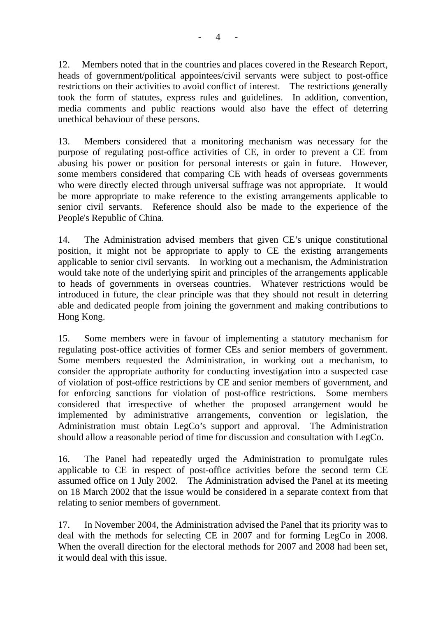12. Members noted that in the countries and places covered in the Research Report, heads of government/political appointees/civil servants were subject to post-office restrictions on their activities to avoid conflict of interest. The restrictions generally took the form of statutes, express rules and guidelines. In addition, convention, media comments and public reactions would also have the effect of deterring unethical behaviour of these persons.

13. Members considered that a monitoring mechanism was necessary for the purpose of regulating post-office activities of CE, in order to prevent a CE from abusing his power or position for personal interests or gain in future. However, some members considered that comparing CE with heads of overseas governments who were directly elected through universal suffrage was not appropriate. It would be more appropriate to make reference to the existing arrangements applicable to senior civil servants. Reference should also be made to the experience of the People's Republic of China.

14. The Administration advised members that given CE's unique constitutional position, it might not be appropriate to apply to CE the existing arrangements applicable to senior civil servants. In working out a mechanism, the Administration would take note of the underlying spirit and principles of the arrangements applicable to heads of governments in overseas countries. Whatever restrictions would be introduced in future, the clear principle was that they should not result in deterring able and dedicated people from joining the government and making contributions to Hong Kong.

15. Some members were in favour of implementing a statutory mechanism for regulating post-office activities of former CEs and senior members of government. Some members requested the Administration, in working out a mechanism, to consider the appropriate authority for conducting investigation into a suspected case of violation of post-office restrictions by CE and senior members of government, and for enforcing sanctions for violation of post-office restrictions. Some members considered that irrespective of whether the proposed arrangement would be implemented by administrative arrangements, convention or legislation, the Administration must obtain LegCo's support and approval. The Administration should allow a reasonable period of time for discussion and consultation with LegCo.

16. The Panel had repeatedly urged the Administration to promulgate rules applicable to CE in respect of post-office activities before the second term CE assumed office on 1 July 2002. The Administration advised the Panel at its meeting on 18 March 2002 that the issue would be considered in a separate context from that relating to senior members of government.

17. In November 2004, the Administration advised the Panel that its priority was to deal with the methods for selecting CE in 2007 and for forming LegCo in 2008. When the overall direction for the electoral methods for 2007 and 2008 had been set, it would deal with this issue.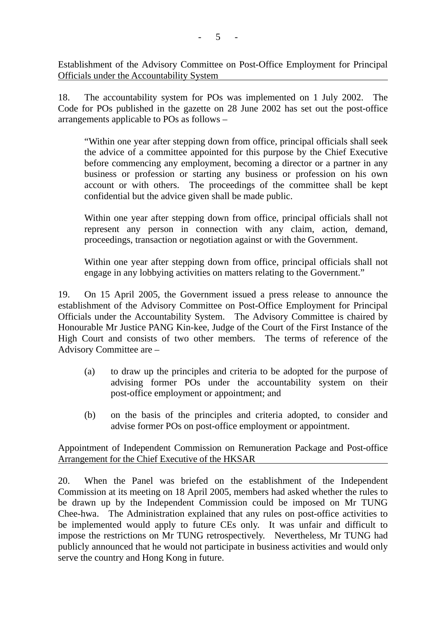Establishment of the Advisory Committee on Post-Office Employment for Principal Officials under the Accountability System

18. The accountability system for POs was implemented on 1 July 2002. The Code for POs published in the gazette on 28 June 2002 has set out the post-office arrangements applicable to POs as follows –

"Within one year after stepping down from office, principal officials shall seek the advice of a committee appointed for this purpose by the Chief Executive before commencing any employment, becoming a director or a partner in any business or profession or starting any business or profession on his own account or with others. The proceedings of the committee shall be kept confidential but the advice given shall be made public.

Within one year after stepping down from office, principal officials shall not represent any person in connection with any claim, action, demand, proceedings, transaction or negotiation against or with the Government.

Within one year after stepping down from office, principal officials shall not engage in any lobbying activities on matters relating to the Government."

19. On 15 April 2005, the Government issued a press release to announce the establishment of the Advisory Committee on Post-Office Employment for Principal Officials under the Accountability System. The Advisory Committee is chaired by Honourable Mr Justice PANG Kin-kee, Judge of the Court of the First Instance of the High Court and consists of two other members. The terms of reference of the Advisory Committee are –

- (a) to draw up the principles and criteria to be adopted for the purpose of advising former POs under the accountability system on their post-office employment or appointment; and
- (b) on the basis of the principles and criteria adopted, to consider and advise former POs on post-office employment or appointment.

Appointment of Independent Commission on Remuneration Package and Post-office Arrangement for the Chief Executive of the HKSAR

20. When the Panel was briefed on the establishment of the Independent Commission at its meeting on 18 April 2005, members had asked whether the rules to be drawn up by the Independent Commission could be imposed on Mr TUNG Chee-hwa. The Administration explained that any rules on post-office activities to be implemented would apply to future CEs only. It was unfair and difficult to impose the restrictions on Mr TUNG retrospectively. Nevertheless, Mr TUNG had publicly announced that he would not participate in business activities and would only serve the country and Hong Kong in future.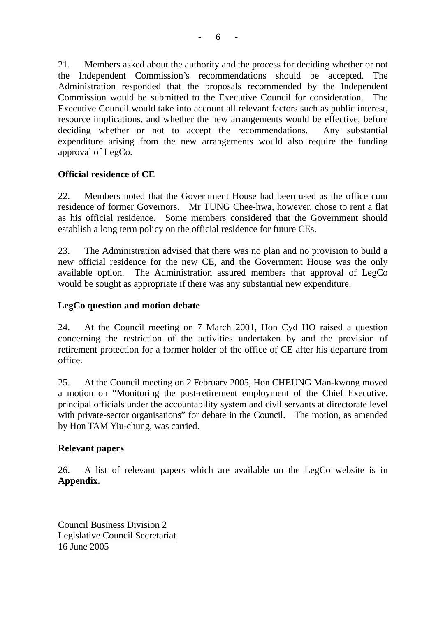21. Members asked about the authority and the process for deciding whether or not the Independent Commission's recommendations should be accepted. The Administration responded that the proposals recommended by the Independent Commission would be submitted to the Executive Council for consideration. The Executive Council would take into account all relevant factors such as public interest, resource implications, and whether the new arrangements would be effective, before deciding whether or not to accept the recommendations. Any substantial expenditure arising from the new arrangements would also require the funding approval of LegCo.

# **Official residence of CE**

22. Members noted that the Government House had been used as the office cum residence of former Governors. Mr TUNG Chee-hwa, however, chose to rent a flat as his official residence. Some members considered that the Government should establish a long term policy on the official residence for future CEs.

23. The Administration advised that there was no plan and no provision to build a new official residence for the new CE, and the Government House was the only available option. The Administration assured members that approval of LegCo would be sought as appropriate if there was any substantial new expenditure.

#### **LegCo question and motion debate**

24. At the Council meeting on 7 March 2001, Hon Cyd HO raised a question concerning the restriction of the activities undertaken by and the provision of retirement protection for a former holder of the office of CE after his departure from office.

25. At the Council meeting on 2 February 2005, Hon CHEUNG Man-kwong moved a motion on "Monitoring the post-retirement employment of the Chief Executive, principal officials under the accountability system and civil servants at directorate level with private-sector organisations" for debate in the Council. The motion, as amended by Hon TAM Yiu-chung, was carried.

# **Relevant papers**

26. A list of relevant papers which are available on the LegCo website is in **Appendix**.

Council Business Division 2 Legislative Council Secretariat 16 June 2005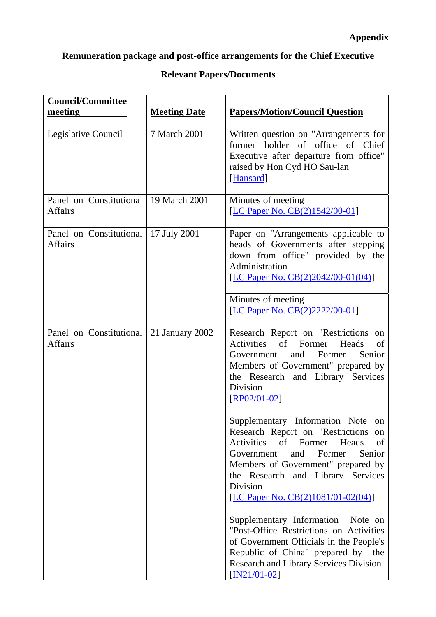# **Remuneration package and post-office arrangements for the Chief Executive**

# **Relevant Papers/Documents**

| <b>Council/Committee</b><br>meeting                       | <b>Meeting Date</b> | <b>Papers/Motion/Council Question</b>                                                                                                                                                                                                                                                 |
|-----------------------------------------------------------|---------------------|---------------------------------------------------------------------------------------------------------------------------------------------------------------------------------------------------------------------------------------------------------------------------------------|
| Legislative Council                                       | 7 March 2001        | Written question on "Arrangements for<br>former holder of office of Chief<br>Executive after departure from office"<br>raised by Hon Cyd HO Sau-lan<br>[Hansard]                                                                                                                      |
| Panel on Constitutional   19 March 2001<br><b>Affairs</b> |                     | Minutes of meeting<br>[LC Paper No. CB(2)1542/00-01]                                                                                                                                                                                                                                  |
| Panel on Constitutional<br><b>Affairs</b>                 | 17 July 2001        | Paper on "Arrangements applicable to<br>heads of Governments after stepping<br>down from office" provided by the<br>Administration<br>[LC Paper No. CB(2)2042/00-01(04)]<br>Minutes of meeting<br>[LC Paper No. CB(2)2222/00-01]                                                      |
| Panel on Constitutional 21 January 2002<br><b>Affairs</b> |                     | Research Report on "Restrictions on<br>of<br><b>Activities</b><br>Former<br>Heads<br>of<br>and<br>Former<br>Senior<br>Government<br>Members of Government" prepared by<br>the Research and Library Services<br>Division<br>$[RP02/01-02]$                                             |
|                                                           |                     | Supplementary Information Note on<br>Research Report on "Restrictions on<br>Activities of Former<br>Heads<br>of<br>Senior<br>and<br>Former<br>Government<br>Members of Government" prepared by<br>the Research and Library Services<br>Division<br>[LC Paper No. CB(2)1081/01-02(04)] |
|                                                           |                     | Supplementary Information Note on<br>"Post-Office Restrictions on Activities<br>of Government Officials in the People's<br>Republic of China" prepared by the<br><b>Research and Library Services Division</b><br>$[IN21/01-02]$                                                      |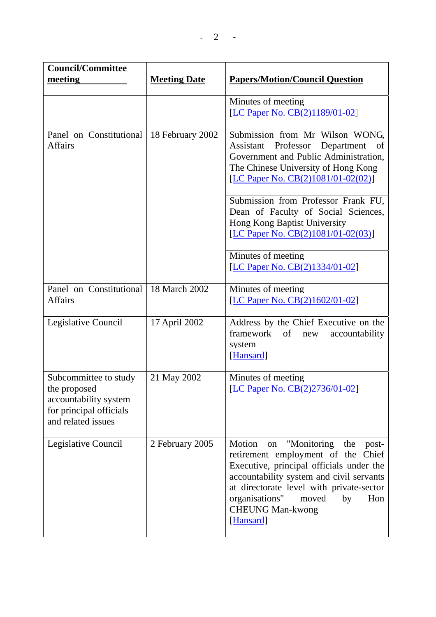| <b>Council/Committee</b>                                                                                        |                     |                                                                                                                                                                                                                                                                                                                                                   |
|-----------------------------------------------------------------------------------------------------------------|---------------------|---------------------------------------------------------------------------------------------------------------------------------------------------------------------------------------------------------------------------------------------------------------------------------------------------------------------------------------------------|
| meeting                                                                                                         | <b>Meeting Date</b> | <b>Papers/Motion/Council Question</b>                                                                                                                                                                                                                                                                                                             |
|                                                                                                                 |                     | Minutes of meeting<br>[LC Paper No. CB(2)1189/01-02]                                                                                                                                                                                                                                                                                              |
| Panel on Constitutional<br><b>Affairs</b>                                                                       | 18 February 2002    | Submission from Mr Wilson WONG,<br>Assistant Professor Department<br>of<br>Government and Public Administration,<br>The Chinese University of Hong Kong<br>[LC Paper No. CB(2)1081/01-02(02)]<br>Submission from Professor Frank FU,<br>Dean of Faculty of Social Sciences,<br>Hong Kong Baptist University<br>[LC Paper No. CB(2)1081/01-02(03)] |
|                                                                                                                 |                     | Minutes of meeting<br>[LC Paper No. CB(2)1334/01-02]                                                                                                                                                                                                                                                                                              |
| Panel on Constitutional<br><b>Affairs</b>                                                                       | 18 March 2002       | Minutes of meeting<br>[LC Paper No. CB(2)1602/01-02]                                                                                                                                                                                                                                                                                              |
| Legislative Council                                                                                             | 17 April 2002       | Address by the Chief Executive on the<br>$\sigma f$<br>framework<br>accountability<br>new<br>system<br>[Hansard]                                                                                                                                                                                                                                  |
| Subcommittee to study<br>the proposed<br>accountability system<br>for principal officials<br>and related issues | 21 May 2002         | Minutes of meeting<br>[LC Paper No. CB(2)2736/01-02]                                                                                                                                                                                                                                                                                              |
| Legislative Council                                                                                             | 2 February 2005     | Motion<br>"Monitoring<br>the<br>post-<br>on<br>retirement employment of the Chief<br>Executive, principal officials under the<br>accountability system and civil servants<br>at directorate level with private-sector<br>organisations"<br>moved<br>by<br>Hon<br><b>CHEUNG Man-kwong</b><br>[Hansard]                                             |